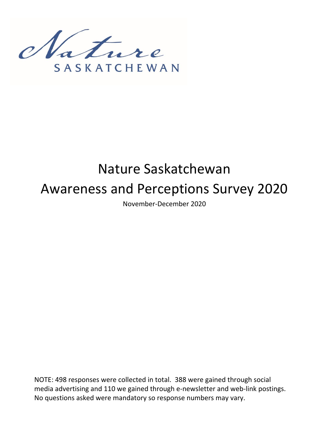

# Nature Saskatchewan Awareness and Perceptions Survey 2020

November-December 2020

NOTE: 498 responses were collected in total. 388 were gained through social media advertising and 110 we gained through e-newsletter and web-link postings. No questions asked were mandatory so response numbers may vary.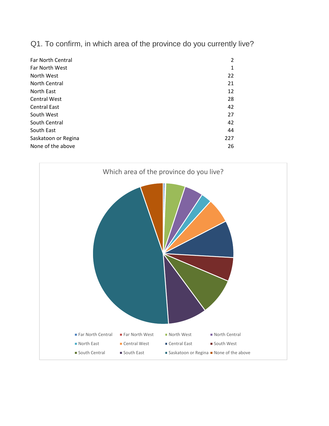Q1. To confirm, in which area of the province do you currently live?

| <b>Far North Central</b> | 2   |
|--------------------------|-----|
| <b>Far North West</b>    | 1   |
| North West               | 22  |
| North Central            | 21  |
| North East               | 12  |
| <b>Central West</b>      | 28  |
| <b>Central East</b>      | 42  |
| South West               | 27  |
| South Central            | 42  |
| South East               | 44  |
| Saskatoon or Regina      | 227 |
| None of the above        | 26  |

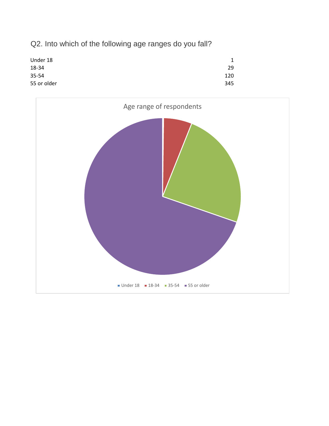Q2. Into which of the following age ranges do you fall?



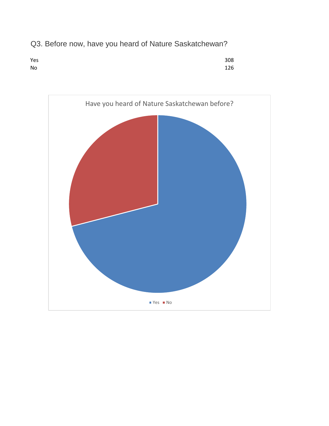Q3. Before now, have you heard of Nature Saskatchewan?



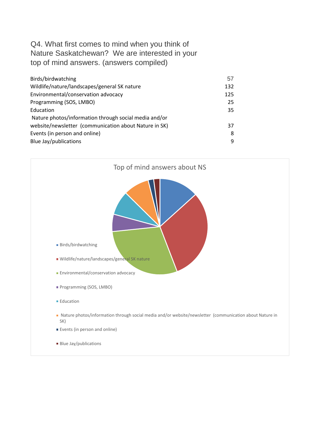# Q4. What first comes to mind when you think of Nature Saskatchewan? We are interested in your top of mind answers. (answers compiled)

| Birds/birdwatching                                    | 57  |
|-------------------------------------------------------|-----|
| Wildlife/nature/landscapes/general SK nature          | 132 |
| Environmental/conservation advocacy                   | 125 |
| Programming (SOS, LMBO)                               | 25  |
| Education                                             | 35  |
| Nature photos/information through social media and/or |     |
| website/newsletter (communication about Nature in SK) | 37  |
| Events (in person and online)                         | 8   |
| Blue Jay/publications                                 | q   |

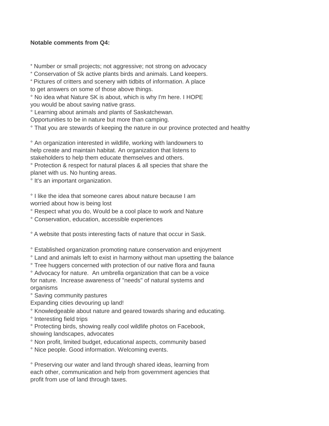#### **Notable comments from Q4:**

° Number or small projects; not aggressive; not strong on advocacy

° Conservation of Sk active plants birds and animals. Land keepers.

° Pictures of critters and scenery with tidbits of information. A place to get answers on some of those above things.

° No idea what Nature SK is about, which is why I'm here. I HOPE you would be about saving native grass.

° Learning about animals and plants of Saskatchewan.

Opportunities to be in nature but more than camping.

° That you are stewards of keeping the nature in our province protected and healthy

° An organization interested in wildlife, working with landowners to help create and maintain habitat. An organization that listens to stakeholders to help them educate themselves and others.

° Protection & respect for natural places & all species that share the planet with us. No hunting areas.

° It's an important organization.

° I like the idea that someone cares about nature because I am worried about how is being lost

° Respect what you do, Would be a cool place to work and Nature

° Conservation, education, accessible experiences

° A website that posts interesting facts of nature that occur in Sask.

° Established organization promoting nature conservation and enjoyment

° Land and animals left to exist in harmony without man upsetting the balance

° Tree huggers concerned with protection of our native flora and fauna

° Advocacy for nature. An umbrella organization that can be a voice for nature. Increase awareness of "needs" of natural systems and organisms

° Saving community pastures

Expanding cities devouring up land!

° Knowledgeable about nature and geared towards sharing and educating.

° Interesting field trips

° Protecting birds, showing really cool wildlife photos on Facebook, showing landscapes, advocates

° Non profit, limited budget, educational aspects, community based

° Nice people. Good information. Welcoming events.

° Preserving our water and land through shared ideas, learning from each other, communication and help from government agencies that profit from use of land through taxes.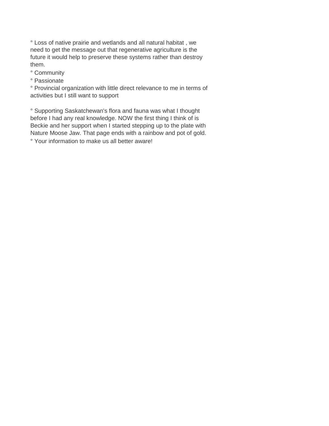° Loss of native prairie and wetlands and all natural habitat , we need to get the message out that regenerative agriculture is the future it would help to preserve these systems rather than destroy them.

- ° Community
- ° Passionate

° Provincial organization with little direct relevance to me in terms of activities but I still want to support

° Supporting Saskatchewan's flora and fauna was what I thought before I had any real knowledge. NOW the first thing I think of is Beckie and her support when I started stepping up to the plate with Nature Moose Jaw. That page ends with a rainbow and pot of gold. ° Your information to make us all better aware!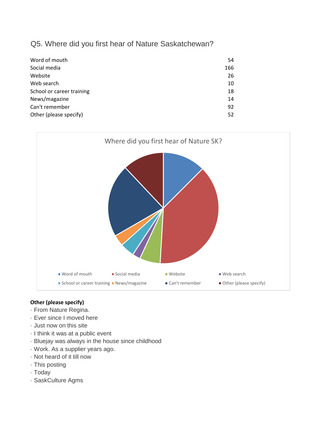## Q5. Where did you first hear of Nature Saskatchewan?

| Word of mouth             | 54  |
|---------------------------|-----|
| Social media              | 166 |
| Website                   | 26  |
| Web search                | 10  |
| School or career training | 18  |
| News/magazine             | 14  |
| Can't remember            | 92  |
| Other (please specify)    | 52  |



#### **Other (please specify)**

- · From Nature Regina.
- · Ever since I moved here
- · Just now on this site
- · I think it was at a public event
- · Bluejay was always in the house since childhood
- · Work. As a supplier years ago.
- · Not heard of it till now
- · This posting
- · Today
- · SaskCulture Agms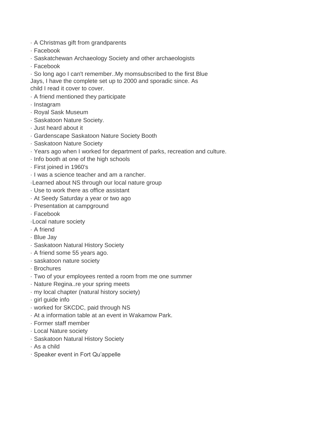- · A Christmas gift from grandparents
- · Facebook
- · Saskatchewan Archaeology Society and other archaeologists
- · Facebook

· So long ago I can't remember..My momsubscribed to the first Blue Jays, I have the complete set up to 2000 and sporadic since. As child I read it cover to cover.

- · A friend mentioned they participate
- · Instagram
- · Royal Sask Museum
- · Saskatoon Nature Society.
- · Just heard about it
- · Gardenscape Saskatoon Nature Society Booth
- · Saskatoon Nature Society
- · Years ago when I worked for department of parks, recreation and culture.
- · Info booth at one of the high schools
- · First joined in 1960's
- · I was a science teacher and am a rancher.
- ·Learned about NS through our local nature group
- · Use to work there as office assistant
- · At Seedy Saturday a year or two ago
- · Presentation at campground
- · Facebook
- ·Local nature society
- · A friend
- · Blue Jay
- · Saskatoon Natural History Society
- · A friend some 55 years ago.
- · saskatoon nature society
- · Brochures
- · Two of your employees rented a room from me one summer
- · Nature Regina..re your spring meets
- · my local chapter (natural history society)
- · girl guide info
- · worked for SKCDC, paid through NS
- · At a information table at an event in Wakamow Park.
- · Former staff member
- · Local Nature society
- · Saskatoon Natural History Society
- · As a child
- · Speaker event in Fort Qu'appelle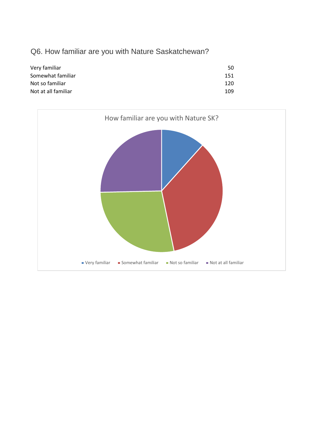# Q6. How familiar are you with Nature Saskatchewan?

| Very familiar       | 50  |
|---------------------|-----|
| Somewhat familiar   | 151 |
| Not so familiar     | 120 |
| Not at all familiar | 109 |

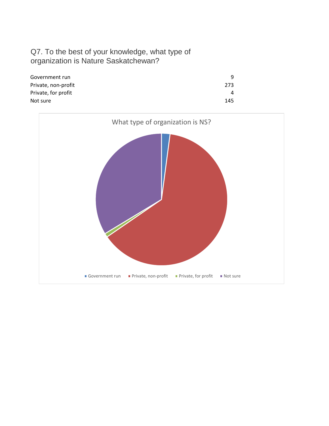# Q7. To the best of your knowledge, what type of organization is Nature Saskatchewan?

| Government run      |     |
|---------------------|-----|
| Private, non-profit | 273 |
| Private, for profit |     |
| Not sure            | 145 |

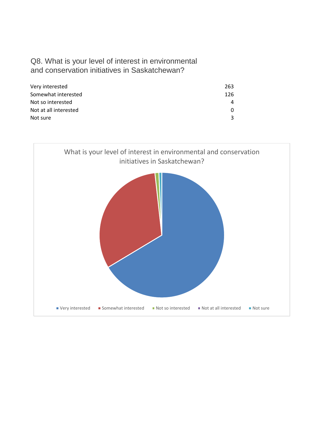## Q8. What is your level of interest in environmental and conservation initiatives in Saskatchewan?

| Very interested       | 263 |
|-----------------------|-----|
| Somewhat interested   | 126 |
| Not so interested     |     |
| Not at all interested |     |
| Not sure              |     |

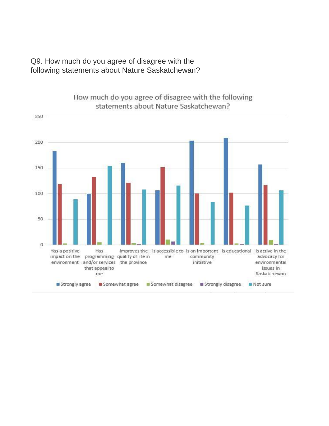Q9. How much do you agree of disagree with the following statements about Nature Saskatchewan?



How much do you agree of disagree with the following statements about Nature Saskatchewan?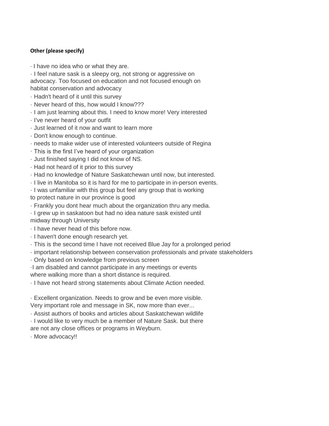#### **Other (please specify)**

· I have no idea who or what they are.

· I feel nature sask is a sleepy org, not strong or aggressive on advocacy. Too focused on education and not focused enough on habitat conservation and advocacy

- · Hadn't heard of it until this survey
- · Never heard of this, how would I know???
- · I am just learning about this. I need to know more! Very interested
- · I've never heard of your outfit
- · Just learned of it now and want to learn more
- · Don't know enough to continue.
- · needs to make wider use of interested volunteers outside of Regina
- · This is the first I've heard of your organization
- · Just finished saying I did not know of NS.
- · Had not heard of it prior to this survey
- · Had no knowledge of Nature Saskatchewan until now, but interested.
- · I live in Manitoba so it is hard for me to participate in in-person events.
- · I was unfamiliar with this group but feel any group that is working

to protect nature in our province is good

- · Frankly you dont hear much about the organization thru any media.
- · I grew up in saskatoon but had no idea nature sask existed until

midway through University

- · I have never head of this before now.
- · I haven't done enough research yet.
- · This is the second time I have not received Blue Jay for a prolonged period
- · important relationship between conservation professionals and private stakeholders
- · Only based on knowledge from previous screen
- ·I am disabled and cannot participate in any meetings or events where walking more than a short distance is required.
- · I have not heard strong statements about Climate Action needed.
- · Excellent organization. Needs to grow and be even more visible. Very important role and message in SK, now more than ever...
- · Assist authors of books and articles about Saskatchewan wildlife
- · I would like to very much be a member of Nature Sask. but there are not any close offices or programs in Weyburn.
- · More advocacy!!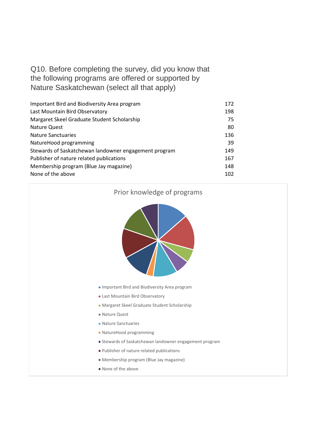Q10. Before completing the survey, did you know that the following programs are offered or supported by Nature Saskatchewan (select all that apply)

| Important Bird and Biodiversity Area program          | 172 |
|-------------------------------------------------------|-----|
| Last Mountain Bird Observatory                        | 198 |
| Margaret Skeel Graduate Student Scholarship           | 75  |
| Nature Quest                                          | 80  |
| <b>Nature Sanctuaries</b>                             | 136 |
| NatureHood programming                                | 39  |
| Stewards of Saskatchewan landowner engagement program | 149 |
| Publisher of nature related publications              | 167 |
| Membership program (Blue Jay magazine)                | 148 |
| None of the above                                     | 102 |

#### Prior knowledge of programs



- **Important Bird and Biodiversity Area program**
- **Last Mountain Bird Observatory**
- **Margaret Skeel Graduate Student Scholarship**
- Nature Quest
- Nature Sanctuaries
- NatureHood programming
- Stewards of Saskatchewan landowner engagement program
- **Publisher of nature related publications**
- Membership program (Blue Jay magazine)
- None of the above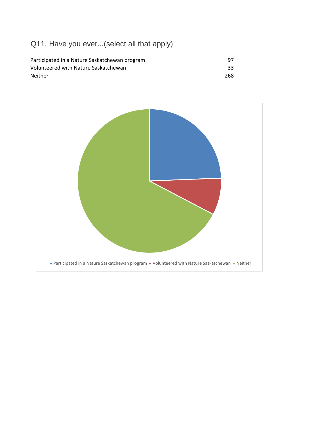# Q11. Have you ever...(select all that apply)

| Participated in a Nature Saskatchewan program | -97 |
|-----------------------------------------------|-----|
| Volunteered with Nature Saskatchewan          | 33  |
| <b>Neither</b>                                | 268 |

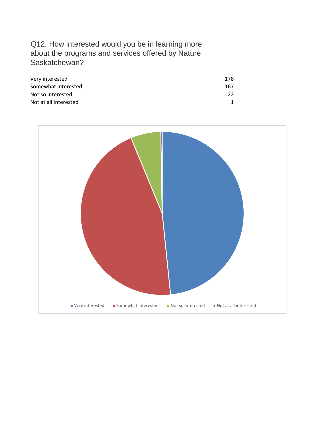# Q12. How interested would you be in learning more about the programs and services offered by Nature Saskatchewan?

| Very interested       | 178 |
|-----------------------|-----|
| Somewhat interested   | 167 |
| Not so interested     | つつ  |
| Not at all interested |     |

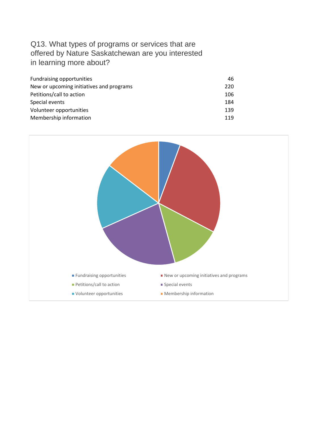# Q13. What types of programs or services that are offered by Nature Saskatchewan are you interested in learning more about?

| <b>Fundraising opportunities</b>         | 46  |
|------------------------------------------|-----|
| New or upcoming initiatives and programs | 220 |
| Petitions/call to action                 | 106 |
| Special events                           | 184 |
| Volunteer opportunities                  | 139 |
| Membership information                   | 119 |

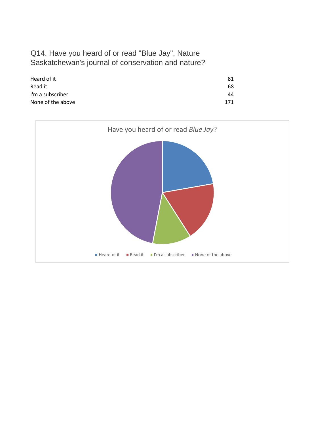## Q14. Have you heard of or read "Blue Jay", Nature Saskatchewan's journal of conservation and nature?

| Heard of it       | 81  |
|-------------------|-----|
| Read it           | 68  |
| I'm a subscriber  | 44  |
| None of the above | 171 |

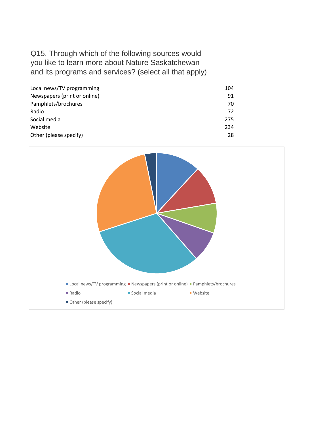# Q15. Through which of the following sources would you like to learn more about Nature Saskatchewan and its programs and services? (select all that apply)

| Local news/TV programming    | 104 |
|------------------------------|-----|
| Newspapers (print or online) | 91  |
| Pamphlets/brochures          | 70  |
| Radio                        | 72  |
| Social media                 | 275 |
| Website                      | 234 |
| Other (please specify)       | 28  |

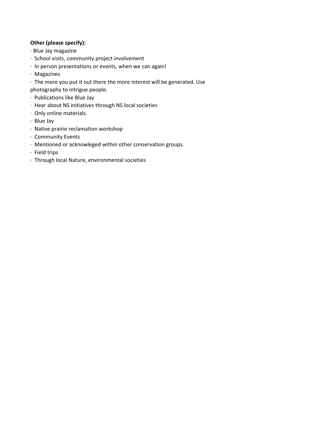#### **Other (please specify):**

- · Blue Jay magazine
- · School visits, community project involvement
- · In person presentations or events, when we can again!
- · Magazines
- · The more you put it out there the more interest will be generated. Use photography to intrigue people.
- · Publications like Blue Jay
- · Hear about NS initiatives through NS local societies
- · Only online materials.
- · Blue Jay
- · Native prairie reclamation workshop
- · Community Events
- · Mentioned or acknowleged within other conservation groups.
- · Field trips
- · Through local Nature, environmental societies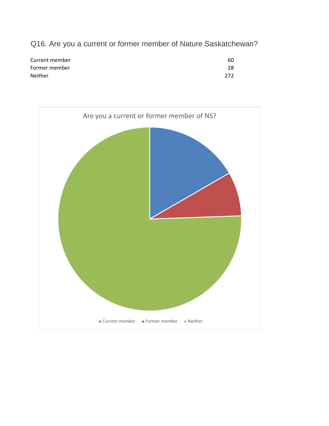Q16. Are you a current or former member of Nature Saskatchewan?

| Current member | 60  |
|----------------|-----|
| Former member  | 28  |
| <b>Neither</b> | 272 |

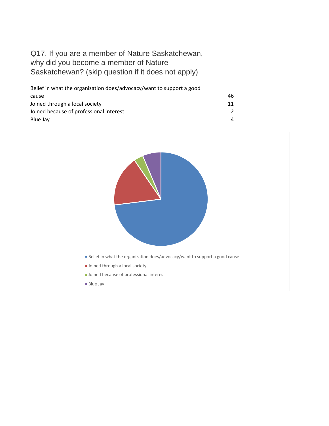# Q17. If you are a member of Nature Saskatchewan, why did you become a member of Nature Saskatchewan? (skip question if it does not apply)

| Belief in what the organization does/advocacy/want to support a good |               |
|----------------------------------------------------------------------|---------------|
| cause                                                                | 46            |
| Joined through a local society                                       | 11            |
| Joined because of professional interest                              | $\mathcal{P}$ |
| Blue Jay                                                             | Δ             |

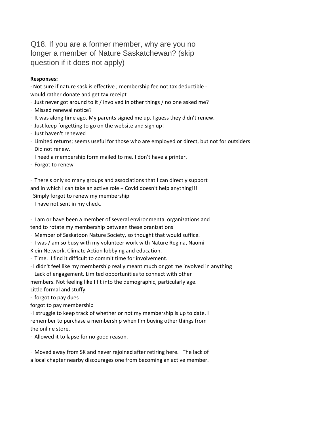Q18. If you are a former member, why are you no longer a member of Nature Saskatchewan? (skip question if it does not apply)

#### **Responses:**

· Not sure if nature sask is effective ; membership fee not tax deductible would rather donate and get tax receipt

- · Just never got around to it / involved in other things / no one asked me?
- · Missed renewal notice?
- · It was along time ago. My parents signed me up. I guess they didn't renew.
- · Just keep forgetting to go on the website and sign up!
- · Just haven't renewed
- · Limited returns; seems useful for those who are employed or direct, but not for outsiders
- · Did not renew.
- · I need a membership form mailed to me. I don't have a printer.
- · Forgot to renew

· There's only so many groups and associations that I can directly support and in which I can take an active role + Covid doesn't help anything!!!

- · Simply forgot to renew my membership
- · I have not sent in my check.

· I am or have been a member of several environmental organizations and tend to rotate my membership between these oranizations

- · Member of Saskatoon Nature Society, so thought that would suffice.
- · I was / am so busy with my volunteer work with Nature Regina, Naomi Klein Network, Climate Action lobbying and education.
- · Time. I find it difficult to commit time for involvement.
- · I didn't feel like my membership really meant much or got me involved in anything

· Lack of engagement. Limited opportunities to connect with other

members. Not feeling like I fit into the demographic, particularly age.

Little formal and stuffy

· forgot to pay dues

forgot to pay membership

· I struggle to keep track of whether or not my membership is up to date. I remember to purchase a membership when I'm buying other things from the online store.

· Allowed it to lapse for no good reason.

· Moved away from SK and never rejoined after retiring here. The lack of a local chapter nearby discourages one from becoming an active member.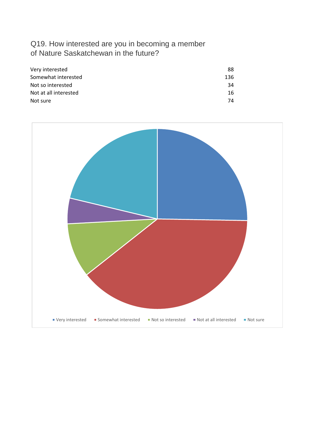# Q19. How interested are you in becoming a member of Nature Saskatchewan in the future?

| Very interested       | 88  |
|-----------------------|-----|
| Somewhat interested   | 136 |
| Not so interested     | 34  |
| Not at all interested | 16  |
| Not sure              | 74  |

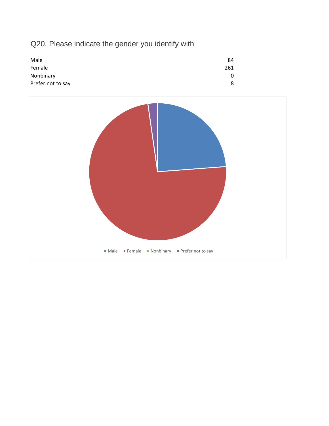# Q20. Please indicate the gender you identify with



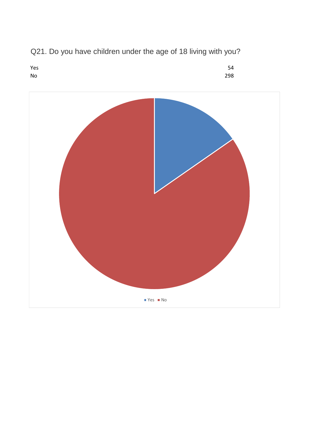

Q21. Do you have children under the age of 18 living with you?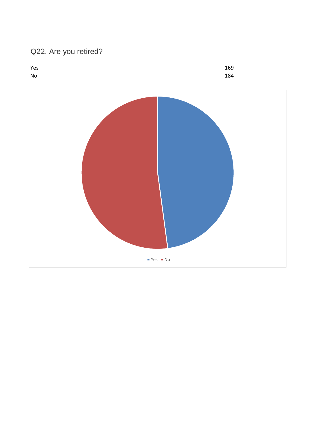# Q22. Are you retired?



 $Yes = No$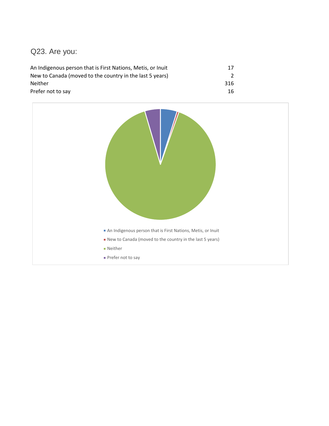# Q23. Are you:

| An Indigenous person that is First Nations, Metis, or Inuit | 17  |
|-------------------------------------------------------------|-----|
| New to Canada (moved to the country in the last 5 years)    |     |
| <b>Neither</b>                                              | 316 |
| Prefer not to say                                           | 16  |

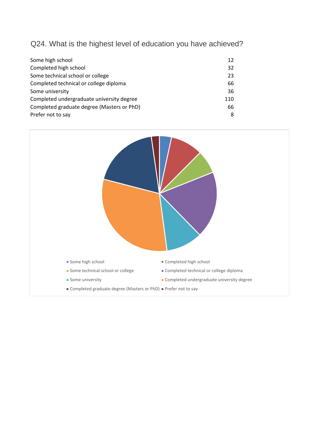Q24. What is the highest level of education you have achieved?

| Some high school                           | 12  |
|--------------------------------------------|-----|
| Completed high school                      | 32  |
| Some technical school or college           | 23  |
| Completed technical or college diploma     | 66  |
| Some university                            | 36  |
| Completed undergraduate university degree  | 110 |
| Completed graduate degree (Masters or PhD) | 66  |
| Prefer not to say                          | 8   |

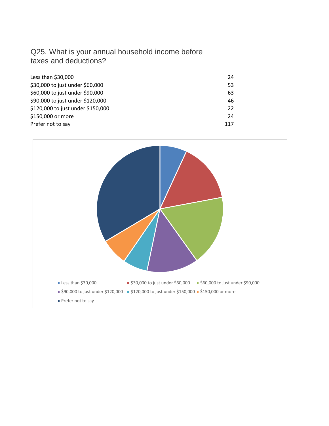# Q25. What is your annual household income before taxes and deductions?

| Less than \$30,000                | 24  |
|-----------------------------------|-----|
| \$30,000 to just under \$60,000   | 53  |
| \$60,000 to just under \$90,000   | 63  |
| \$90,000 to just under \$120,000  | 46  |
| \$120,000 to just under \$150,000 | 22  |
| \$150,000 or more                 | 24  |
| Prefer not to say                 | 117 |

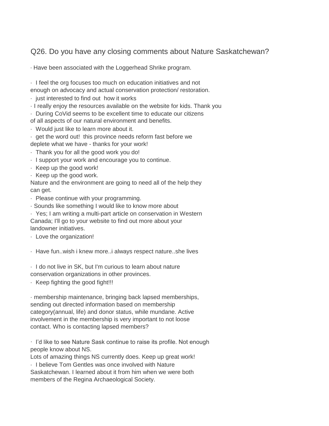# Q26. Do you have any closing comments about Nature Saskatchewan?

· Have been associated with the Loggerhead Shrike program.

· I feel the org focuses too much on education initiatives and not

enough on advocacy and actual conservation protection/ restoration.

- · just interested to find out how it works
- · I really enjoy the resources available on the website for kids. Thank you
- · During CoVid seems to be excellent time to educate our citizens

of all aspects of our natural environment and benefits.

- · Would just like to learn more about it.
- · get the word out! this province needs reform fast before we deplete what we have - thanks for your work!
- · Thank you for all the good work you do!
- · I support your work and encourage you to continue.
- · Keep up the good work!
- · Keep up the good work.

Nature and the environment are going to need all of the help they can get.

· Please continue with your programming.

· Sounds like something I would like to know more about

· Yes; I am writing a multi-part article on conservation in Western Canada; I'll go to your website to find out more about your landowner initiatives.

· Love the organization!

· Have fun..wish i knew more..i always respect nature..she lives

· I do not live in SK, but I'm curious to learn about nature conservation organizations in other provinces.

· Keep fighting the good fight!!!

· membership maintenance, bringing back lapsed memberships, sending out directed information based on membership category(annual, life) and donor status, while mundane. Active involvement in the membership is very important to not loose contact. Who is contacting lapsed members?

· I'd like to see Nature Sask continue to raise its profile. Not enough people know about NS.

Lots of amazing things NS currently does. Keep up great work!

· I believe Tom Gentles was once involved with Nature

Saskatchewan. I learned about it from him when we were both members of the Regina Archaeological Society.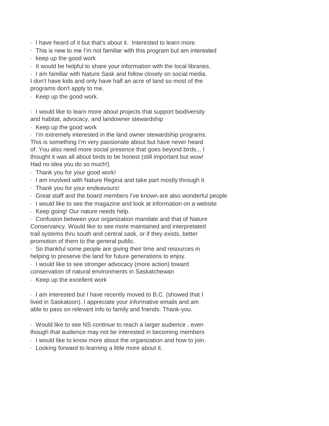· I have heard of it but that's about it. Interested to learn more.

- · This is new to me I'm not familiar with this program but am interested
- · keep up the good work
- · It would be helpful to share your information with the local libraries.

· I am familiar with Nature Sask and follow closely on social media. I don't have kids and only have half an acre of land so most of the programs don't apply to me.

· Keep up the good work.

· I would like to learn more about projects that support biodiversity and habitat, advocacy, and landowner stewardship

· Keep up the good work

· I'm extremely interested in the land owner stewardship programs. This is something I'm very passionate about but have never heard of. You also need more social presence that goes beyond birds... I thought it was all about birds to be honest (still important but wow! Had no idea you do so much!)

- · Thank you for your good work!
- · I am involved with Nature Regina and take part mostly through it.
- · Thank you for your endeavours!
- · Great staff and the board members I've known are also wonderful people
- · I would like to see the magazine and look at information on a website
- · Keep going! Our nature needs help.

· Confusion between your organization mandate and that of Nature Conservancy. Would like to see more maintained and interpretated trail systems thru south and central sask, or if they exists, better promotion of them to the general public.

· So thankful some people are giving their time and resources in helping to preserve the land for future generations to enjoy.

· I would like to see stronger advocacy (more action) toward conservation of natural environments in Saskatchewan

· Keep up the excellent work

· I am interested but I have recently moved to B.C. (showed that I lived in Saskatoon). I appreciate your informative emails and am able to pass on relevant info to family and friends. Thank-you.

· Would like to see NS continue to reach a larger audience , even though that audience may not be interested in becoming members

· I would like to know more about the organization and how to join.

· Looking forward to learning a little more about it.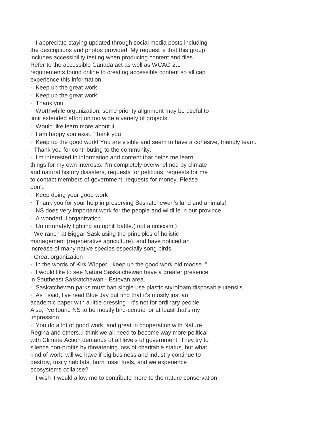· I appreciate staying updated through social media posts including the descriptions and photos provided. My request is that this group includes accessibility testing when producing content and files. Refer to the accessible Canada act as well as WCAG 2.1 requirements found online to creating accessible content so all can experience this information.

· Keep up the great work.

- · Keep up the great work!
- · Thank you

· Worthwhile organization; some priority alignment may be useful to limit extended effort on too wide a variety of projects.

- · Would like learn more about it
- · I am happy you exist. Thank you
- · Keep up the good work! You are visible and seem to have a cohesive, friendly team.
- · Thank you for contributing to the community.

· I'm interested in information and content that helps me learn things for my own interests. I'm completely overwhelmed by climate and natural history disasters, requests for petitions, requests for me to contact members of government, requests for money. Please don't.

- · Keep doing your good work
- · Thank you for your help in preserving Saskatchewan's land and animals!
- · NS does very important work for the people and wildlife in our province
- · A wonderful organization
- · Unfortunately fighting an uphill battle.( not a criticism )

· We ranch at Biggar Sask using the principles of holistic management (regenerative agriculture). and have noticed an increase of many native species especially song birds.

- · Great organization
- · In the words of Kirk Wipper, "keep up the good work old moose. "

· I would like to see Nature Saskatchewan have a greater presence in Southeast Saskatchewan - Estevan area.

· Saskatchewan parks must ban single use plastic styrofoam disposable utensils

· As I said, I've read Blue Jay but find that it's mostly just an academic paper with a little dressing - it's not for ordinary people. Also, I've found NS to be mostly bird-centric, or at least that's my impression.

· You do a lot of good work, and great in cooperation with Nature Regina and others..I think we all need to become way more political with Climate Action demands of all levels of government. They try to silence non-profits by threatening loss of charitable status, but what kind of world will we have if big business and industry continue to destroy, toxify habitats, burn fossil fuels, and we experience ecosystems collapse?

· I wish it would allow me to contribute more to the nature conservation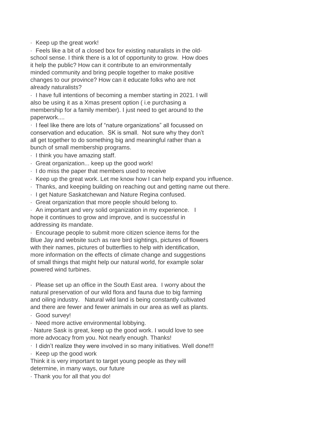· Keep up the great work!

· Feels like a bit of a closed box for existing naturalists in the oldschool sense. I think there is a lot of opportunity to grow. How does it help the public? How can it contribute to an environmentally minded community and bring people together to make positive changes to our province? How can it educate folks who are not already naturalists?

· I have full intentions of becoming a member starting in 2021. I will also be using it as a Xmas present option ( i.e purchasing a membership for a family member). I just need to get around to the paperwork....

· I feel like there are lots of "nature organizations" all focussed on conservation and education. SK is small. Not sure why they don't all get together to do something big and meaningful rather than a bunch of small membership programs.

- · I think you have amazing staff.
- · Great organization... keep up the good work!
- · I do miss the paper that members used to receive
- · Keep up the great work. Let me know how I can help expand you influence.
- · Thanks, and keeping building on reaching out and getting name out there.
- · I get Nature Saskatchewan and Nature Regina confused.
- · Great organization that more people should belong to.

· An important and very solid organization in my experience. I hope it continues to grow and improve, and is successful in addressing its mandate.

· Encourage people to submit more citizen science items for the Blue Jay and website such as rare bird sightings, pictures of flowers with their names, pictures of butterflies to help with identification, more information on the effects of climate change and suggestions of small things that might help our natural world, for example solar powered wind turbines.

· Please set up an office in the South East area. I worry about the natural preservation of our wild flora and fauna due to big farming and oiling industry. Natural wild land is being constantly cultivated and there are fewer and fewer animals in our area as well as plants.

- · Good survey!
- · Need more active environmental lobbying.

· Nature Sask is great, keep up the good work. I would love to see more advocacy from you. Not nearly enough. Thanks!

· I didn't realize they were involved in so many initiatives. Well done!!!

· Keep up the good work

Think it is very important to target young people as they will determine, in many ways, our future

· Thank you for all that you do!